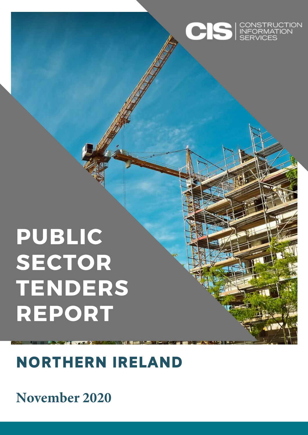

# PUBLIC SECTOR TENDERS REPORT

## NORTHERN IRELAND

### **November 2020**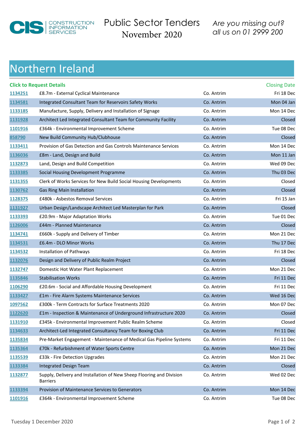

Public Sector Tenders November 2020

*Are you [missing out?](http://www.cisireland.com) all us on 01 2999 200*

#### Northern Ireland

|         | <b>Click to Request Details</b>                                                         |            | <b>Closing Date</b> |
|---------|-----------------------------------------------------------------------------------------|------------|---------------------|
| 1134251 | £8.7m - External Cyclical Maintenance                                                   | Co. Antrim | Fri 18 Dec          |
| 1134581 | Integrated Consultant Team for Reservoirs Safety Works                                  | Co. Antrim | Mon 04 Jan          |
| 1133185 | Manufacture, Supply, Delivery and Installation of Signage                               | Co. Antrim | Mon 14 Dec          |
| 1131928 | Architect Led Integrated Consultant Team for Community Facility                         | Co. Antrim | Closed              |
| 1101916 | £364k - Environmental Improvement Scheme                                                | Co. Antrim | Tue 08 Dec          |
| 858790  | New Build Community Hub/Clubhouse                                                       | Co. Antrim | Closed              |
| 1133411 | Provision of Gas Detection and Gas Controls Maintenance Services                        | Co. Antrim | Mon 14 Dec          |
| 1136036 | £8m - Land, Design and Build                                                            | Co. Antrim | Mon 11 Jan          |
| 1132873 | Land, Design and Build Competition                                                      | Co. Antrim | Wed 09 Dec          |
| 1133385 | Social Housing Development Programme                                                    | Co. Antrim | Thu 03 Dec          |
| 1131355 | Clerk of Works Services for New Build Social Housing Developments                       | Co. Antrim | Closed              |
| 1130762 | <b>Gas Ring Main Installation</b>                                                       | Co. Antrim | Closed              |
| 1128375 | £480k - Asbestos Removal Services                                                       | Co. Antrim | Fri 15 Jan          |
| 1131927 | Urban Design/Landscape Architect Led Masterplan for Park                                | Co. Antrim | Closed              |
| 1133393 | £20.9m - Major Adaptation Works                                                         | Co. Antrim | Tue 01 Dec          |
| 1126006 | £44m - Planned Maintenance                                                              | Co. Antrim | Closed              |
| 1134741 | £660k - Supply and Delivery of Timber                                                   | Co. Antrim | Mon 21 Dec          |
| 1134531 | £6.4m - DLO Minor Works                                                                 | Co. Antrim | Thu 17 Dec          |
| 1134532 | Installation of Pathways                                                                | Co. Antrim | Fri 18 Dec          |
| 1132076 | Design and Delivery of Public Realm Project                                             | Co. Antrim | Closed              |
| 1132747 | Domestic Hot Water Plant Replacement                                                    | Co. Antrim | Mon 21 Dec          |
| 1135846 | <b>Stabilisation Works</b>                                                              | Co. Antrim | Fri 11 Dec          |
| 1106290 | £20.6m - Social and Affordable Housing Development                                      | Co. Antrim | Fri 11 Dec          |
| 1133427 | £1m - Fire Alarm Systems Maintenance Services                                           | Co. Antrim | Wed 16 Dec          |
| 1097562 | £300k - Term Contracts for Surface Treatments 2020                                      | Co. Antrim | Mon 07 Dec          |
| 1122620 | £1m - Inspection & Maintenance of Underground Infrastructure 2020                       | Co. Antrim | Closed              |
| 1131910 | £345k - Environmental Improvement Public Realm Scheme                                   | Co. Antrim | Closed              |
| 1134633 | Architect-Led Integrated Consultancy Team for Boxing Club                               | Co. Antrim | Fri 11 Dec          |
| 1135834 | Pre-Market Engagement - Maintenance of Medical Gas Pipeline Systems                     | Co. Antrim | Fri 11 Dec          |
| 1135364 | £70k - Refurbishment of Water Sports Centre                                             | Co. Antrim | Mon 21 Dec          |
| 1135539 | £33k - Fire Detection Upgrades                                                          | Co. Antrim | Mon 21 Dec          |
| 1133384 | Integrated Design Team                                                                  | Co. Antrim | Closed              |
| 1132877 | Supply, Delivery and Installation of New Sheep Flooring and Division<br><b>Barriers</b> | Co. Antrim | Wed 02 Dec          |
| 1133394 | Provision of Maintenance Services to Generators                                         | Co. Antrim | Mon 14 Dec          |
| 1101916 | £364k - Environmental Improvement Scheme                                                | Co. Antrim | Tue 08 Dec          |